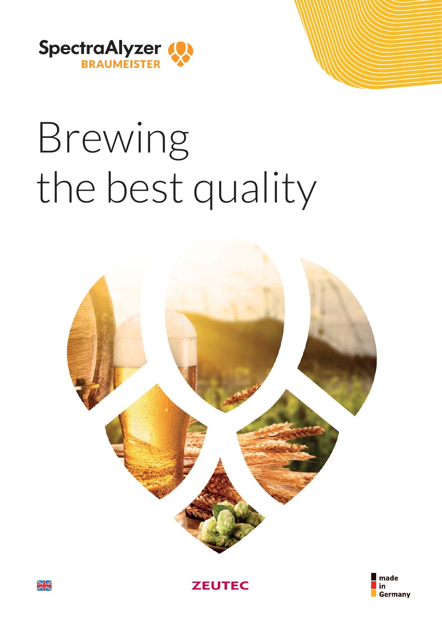

# Brewing the best quality







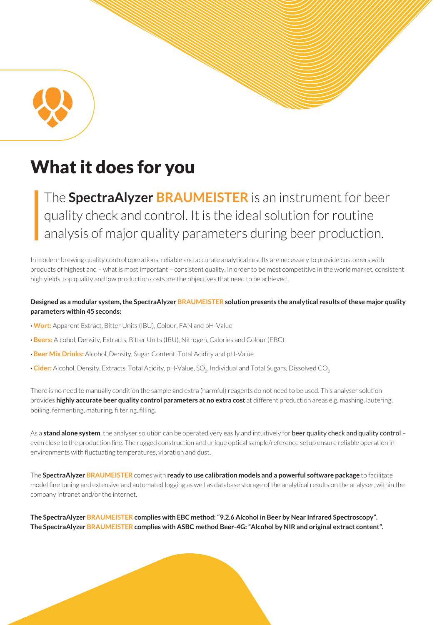

# What it does for you

The **SpectraAlyzer BRAUMEISTER** is an instrument for beer quality check and control. It is the ideal solution for routine analysis of major quality parameters during beer production.

In modern brewing quality control operations, reliable and accurate analytical results are necessary to provide customers with products of highest and – what is most important – consistent quality. In order to be most competitive in the world market, consistent high yields, top quality and low production costs are the objectives that need to be achieved.

#### **Designed as a modular system, the SpectraAlyzer BRAUMEISTER solution presents the analytical results of these major quality parameters within 45 seconds:**

- **· Wort:** Apparent Extract, Bitter Units (IBU), Colour, FAN and pH-Value
- **· Beers:** Alcohol, Density, Extracts, Bitter Units (IBU), Nitrogen, Calories and Colour (EBC)
- **· Beer Mix Drinks:** Alcohol, Density, Sugar Content, Total Acidity and pH-Value
- **· Cider:** Alcohol, Density, Extracts, Total Acidity, pH-Value, SO<sub>2</sub>, Individual and Total Sugars, Dissolved CO<sub>2</sub>

There is no need to manually condition the sample and extra (harmful) reagents do not need to be used. This analyser solution provides **highly accurate beer quality control parameters at no extra cost** at different production areas e.g. mashing, lautering, boiling, fermenting, maturing, filtering, filling.

As a **stand alone system**, the analyser solution can be operated very easily and intuitively for beer quality check and quality control – even close to the production line. The rugged construction and unique optical sample/reference setup ensure reliable operation in environments with fluctuating temperatures, vibration and dust.

The **SpectraAlyzer BRAUMEISTER** comes with **ready to use calibration models and a powerful software package** to facilitate model fine tuning and extensive and automated logging as well as database storage of the analytical results on the analyser, within the company intranet and/or the internet.

**The SpectraAlyzer BRAUMEISTER complies with EBC method: "9.2.6 Alcohol in Beer by Near Infrared Spectroscopy". The SpectraAlyzer BRAUMEISTER complies with ASBC method Beer-4G: "Alcohol by NIR and original extract content".**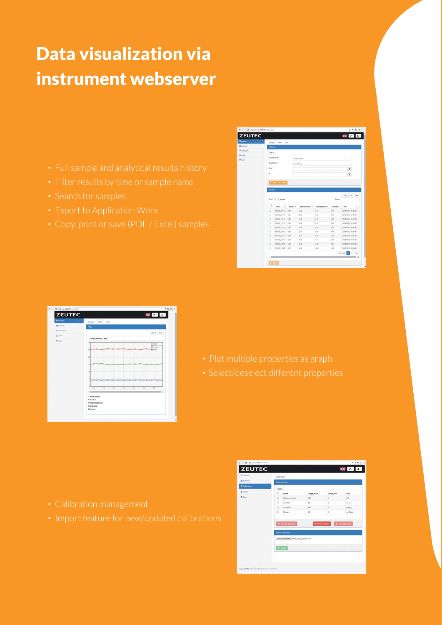# Data visualization via instrument webserver

- 
- 
- 
- 
- 

| Monds.              | <b>Terrates</b>                                                             | Party.            | $70\mu$    |                                  |                 |          |                      |  |
|---------------------|-----------------------------------------------------------------------------|-------------------|------------|----------------------------------|-----------------|----------|----------------------|--|
| <b>E</b> Abellinuda | <b>Wethern</b>                                                              |                   |            |                                  |                 |          |                      |  |
| Collector           | Serv.<br><b>Danger Name</b><br><b>Read Vans</b><br>Page 1<br>$\mathfrak{m}$ | Your Atlant       |            | Sariya Kenel<br><b>Rond Hare</b> |                 |          | $\blacksquare$<br>٠  |  |
|                     |                                                                             |                   |            |                                  |                 |          |                      |  |
|                     | <b>Surgeon</b>                                                              |                   |            |                                  |                 |          | Ciev<br>Pot Line     |  |
|                     |                                                                             | Stow, 12 + entrem |            |                                  |                 | Seatth:  |                      |  |
|                     | $\overline{\phantom{a}}$<br>٠                                               | ×<br>Nane         | Alkahud in | <b>Bibereinhalten</b> is         | Exhabitation: 0 | nksept t | Tone:                |  |
|                     | ٠                                                                           | 101010, 15:18     | 4.34       | 25.2                             | 4.35            | 16.1     | 2010/05/03 15:08:21  |  |
|                     | ٠                                                                           | vering is if      | $-4.22$    | 25.1                             | 4.09            | 15.0     | 2010/02/02 15:17:18  |  |
|                     | ٠                                                                           | 101012_15:16      | 4.85       | 28.6                             | 4.28            | 16.8     | 2010/02/12 10:18:28  |  |
|                     | ٠                                                                           | 101212-1519.      | 1,88       | 28.8                             | 412             | 15.8     | 2010/02/12 15:15:23  |  |
|                     | ٠                                                                           | 191012_15:13      | 4.54       | 36.5                             | 4.76            | 15.5     | 2016/07/019 15:13:07 |  |
|                     | ×                                                                           | 101215_1512       | $-4.85$    | 25.7                             | 4.28            | 141      | 2016/02/10 15:12:51  |  |
|                     | ٠                                                                           | 101210-1511       | $-4.08$    | 25.2                             | 4.29            | 15.0     | 2010/12/12 13:11:40  |  |
|                     | ٠                                                                           | 191010_1510 4.89  |            | 25.5                             | 418             | 16.9     | 2010/07/12 12:12:42  |  |
|                     | ٠                                                                           | M1012_1526        | 4.88       | 25.8                             | 4.29            | ist it   | 2010/02/12 13:28:23  |  |
|                     | ٠                                                                           | 101010_15:00 4.03 |            | 15.8                             | 4.22            | 15.5     | 2010/02/10 10:08:29  |  |

| <b>ZEUTEC</b>        | 開國區                                                                             |  |
|----------------------|---------------------------------------------------------------------------------|--|
| <b>O limits</b>      | <b>Banyles</b><br>Platts   Files<br>٠                                           |  |
| <b>E Monda</b>       | mm.                                                                             |  |
| <b>Q</b> Controllers | Bear's Ford                                                                     |  |
| A there              | Plot for Method : Been                                                          |  |
| <b>W</b> Dilla       | ×.<br><b>SHort</b><br>Maritanese Units                                          |  |
|                      | <b>Bonnell</b><br><b>Blind</b><br>×                                             |  |
|                      | ×                                                                               |  |
|                      |                                                                                 |  |
|                      | ٠                                                                               |  |
|                      | ٠                                                                               |  |
|                      | ٠                                                                               |  |
|                      |                                                                                 |  |
|                      | ٠<br><b>MAL</b><br>wa<br>title<br>total.<br>34.00<br><b>NH</b><br>$\cdots$<br>× |  |
|                      | $\times 10$                                                                     |  |
|                      | <b>U Show Hange</b><br><b>Wilmston</b>                                          |  |
|                      | Vigiliamess Units<br><b><i>Vissaget N</i></b>                                   |  |
|                      | <b>Vitation</b>                                                                 |  |

- 
- 

- 
- 

|                      | Calhesten                 |                                                                           |                         |                      |        |
|----------------------|---------------------------|---------------------------------------------------------------------------|-------------------------|----------------------|--------|
| <b>B</b> technology  | Carteston Inf.            |                                                                           |                         |                      |        |
| <b>O</b> Californian | ber-                      |                                                                           |                         |                      |        |
| 1 Users              | $\alpha$                  | name                                                                      | range max.              | range min            | unit   |
| <b>U</b> Circa       | $\overline{a}$            | <b>Bitemets Livie</b>                                                     | 100                     | $\alpha$             | 16     |
|                      | u                         | <b>Akishot</b>                                                            | 10                      | ø.                   | New    |
|                      | ۰                         | snapa to                                                                  | 100                     | $\sim$               | make   |
|                      | $\overline{u}$            | Cenact                                                                    | tà                      | $\overline{u}$       | g/100m |
|                      | <b>R. David Laborator</b> |                                                                           | <b>K. Green product</b> | <b>Q</b> Entitations |        |
|                      | $+$ must                  | <b>Import cultivation</b><br>Clater pussed from 19 me fortal Acodity with |                         |                      |        |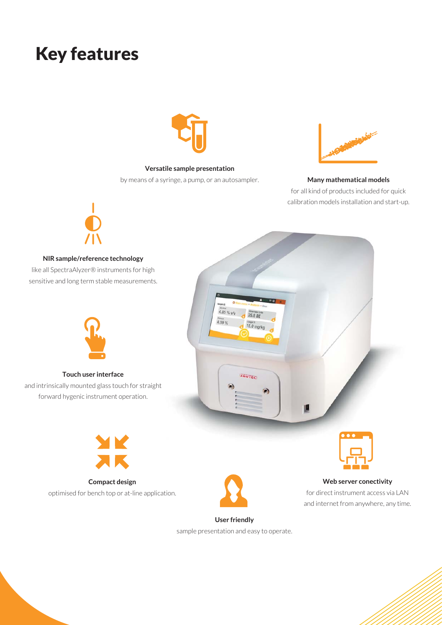# Key features



**Versatile sample presentation**

by means of a syringe, a pump, or an autosampler.



**Many mathematical models** for all kind of products included for quick calibration models installation and start-up.



#### **NIR sample/reference technology**

like all SpectraAlyzer® instruments for high sensitive and long term stable measurements.





**Touch user interface** and intrinsically mounted glass touch for straight forward hygenic instrument operation.



**Compact design** optimised for bench top or at-line application.



## **Web server conectivity**

for direct instrument access via LAN and internet from anywhere, any time.

### **User friendly**

sample presentation and easy to operate.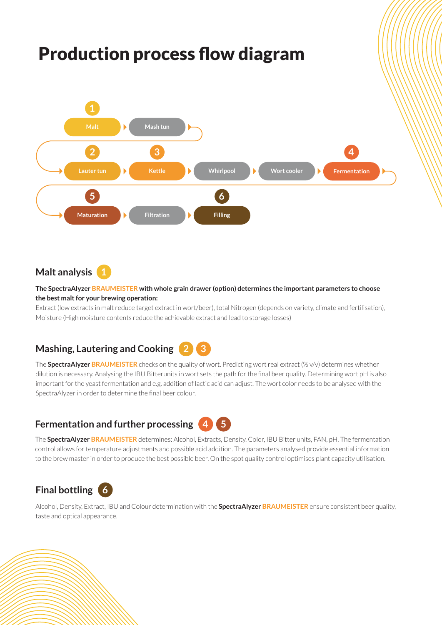

## **Malt analysis 1**

#### **The SpectraAlyzer BRAUMEISTER with whole grain drawer (option) determines the important parameters to choose the best malt for your brewing operation:**

Extract (low extracts in malt reduce target extract in wort/beer), total Nitrogen (depends on variety, climate and fertilisation), Moisture (High moisture contents reduce the achievable extract and lead to storage losses)

# **Mashing, Lautering and Cooking 2 3**

The **SpectraAlyzer BRAUMEISTER** checks on the quality of wort. Predicting wort real extract (% v/v) determines whether dilution is necessary. Analysing the IBU Bitterunits in wort sets the path for the final beer quality. Determining wort pH is also important for the yeast fermentation and e.g. addition of lactic acid can adjust. The wort color needs to be analysed with the SpectraAlyzer in order to determine the final beer colour.

## **Fermentation and further processing 4 5**



The **SpectraAlyzer BRAUMEISTER** determines: Alcohol, Extracts, Density, Color, IBU Bitter units, FAN, pH. The fermentation control allows for temperature adjustments and possible acid addition. The parameters analysed provide essential information to the brew master in order to produce the best possible beer. On the spot quality control optimises plant capacity utilisation.

# **Final bottling 6**

Alcohol, Density, Extract, IBU and Colour determination with the **SpectraAlyzer BRAUMEISTER** ensure consistent beer quality, taste and optical appearance.